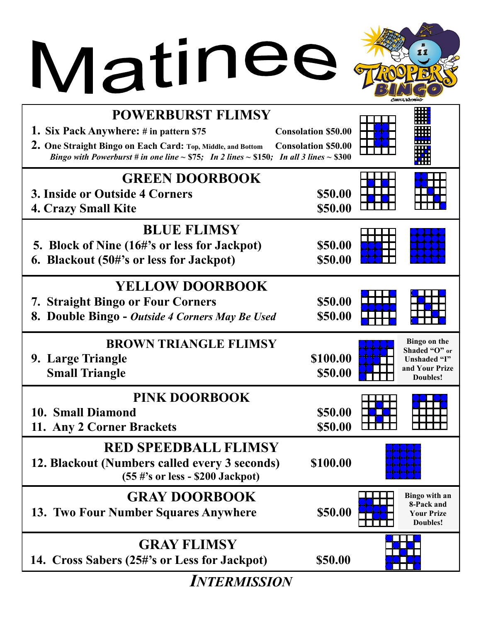## Matinee &



| <b>POWERBURST FLIMSY</b><br>1. Six Pack Anywhere: # in pattern \$75<br>2. One Straight Bingo on Each Card: Top, Middle, and Bottom<br>Bingo with Powerburst # in one line $\sim$ \$75; In 2 lines $\sim$ \$150; In all 3 lines $\sim$ \$300 | <b>Consolation \$50.00</b><br><b>Consolation \$50.00</b> |                                                                             |
|---------------------------------------------------------------------------------------------------------------------------------------------------------------------------------------------------------------------------------------------|----------------------------------------------------------|-----------------------------------------------------------------------------|
| <b>GREEN DOORBOOK</b><br><b>3. Inside or Outside 4 Corners</b><br><b>4. Crazy Small Kite</b>                                                                                                                                                | \$50.00<br>\$50.00                                       |                                                                             |
| <b>BLUE FLIMSY</b><br>5. Block of Nine (16#'s or less for Jackpot)<br>6. Blackout (50#'s or less for Jackpot)                                                                                                                               | \$50.00<br>\$50.00                                       |                                                                             |
| <b>YELLOW DOORBOOK</b><br><b>7. Straight Bingo or Four Corners</b><br>8. Double Bingo - Outside 4 Corners May Be Used                                                                                                                       | \$50.00<br>\$50.00                                       |                                                                             |
| <b>BROWN TRIANGLE FLIMSY</b><br>9. Large Triangle<br><b>Small Triangle</b>                                                                                                                                                                  | \$100.00<br>\$50.00                                      | Bingo on the<br>Shaded "O" or<br>Unshaded "I"<br>and Your Prize<br>Doubles! |
| <b>PINK DOORBOOK</b><br>10. Small Diamond<br>11. Any 2 Corner Brackets                                                                                                                                                                      | \$50.00<br>\$50.00                                       |                                                                             |
| <b>RED SPEEDBALL FLIMSY</b><br>12. Blackout (Numbers called every 3 seconds)<br>$(55 \#s)$ or less - \$200 Jackpot)                                                                                                                         | \$100.00                                                 |                                                                             |
| <b>GRAY DOORBOOK</b><br>13. Two Four Number Squares Anywhere                                                                                                                                                                                | \$50.00                                                  | Bingo with an<br>8-Pack and<br><b>Your Prize</b><br>Doubles!                |
| <b>GRAY FLIMSY</b><br>14. Cross Sabers (25#'s or Less for Jackpot)                                                                                                                                                                          | \$50.00                                                  |                                                                             |

*INTERMISSION*